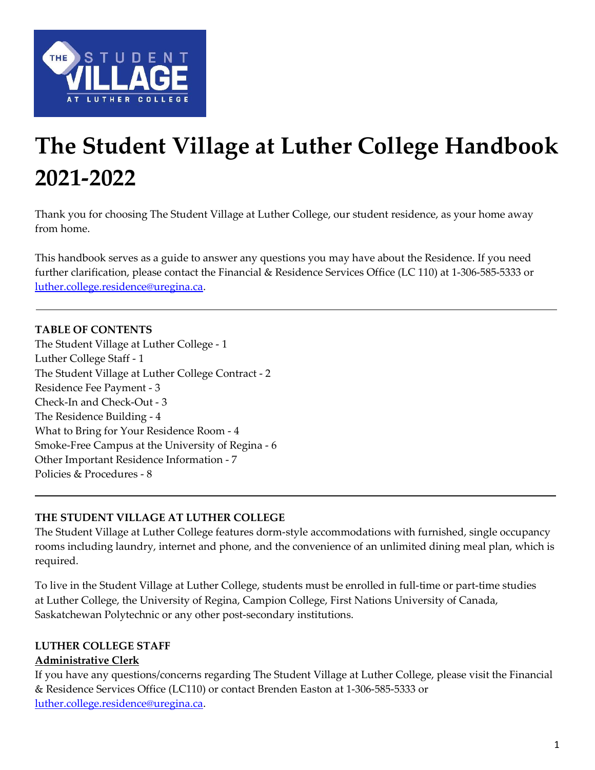

# The Student Village at Luther College Handbook 2021-2022

Thank you for choosing The Student Village at Luther College, our student residence, as your home away from home.

This handbook serves as a guide to answer any questions you may have about the Residence. If you need further clarification, please contact the Financial & Residence Services Office (LC 110) at 1-306-585-5333 or luther.college.residence@uregina.ca.

## TABLE OF CONTENTS

The Student Village at Luther College - 1 Luther College Staff - 1 The Student Village at Luther College Contract - 2 Residence Fee Payment - 3 Check-In and Check-Out - 3 The Residence Building - 4 What to Bring for Your Residence Room - 4 Smoke-Free Campus at the University of Regina - 6 Other Important Residence Information - 7 Policies & Procedures - 8

#### THE STUDENT VILLAGE AT LUTHER COLLEGE

The Student Village at Luther College features dorm-style accommodations with furnished, single occupancy rooms including laundry, internet and phone, and the convenience of an unlimited dining meal plan, which is required.

To live in the Student Village at Luther College, students must be enrolled in full-time or part-time studies at Luther College, the University of Regina, Campion College, First Nations University of Canada, Saskatchewan Polytechnic or any other post-secondary institutions.

## LUTHER COLLEGE STAFF

## Administrative Clerk

If you have any questions/concerns regarding The Student Village at Luther College, please visit the Financial & Residence Services Office (LC110) or contact Brenden Easton at 1-306-585-5333 or luther.college.residence@uregina.ca.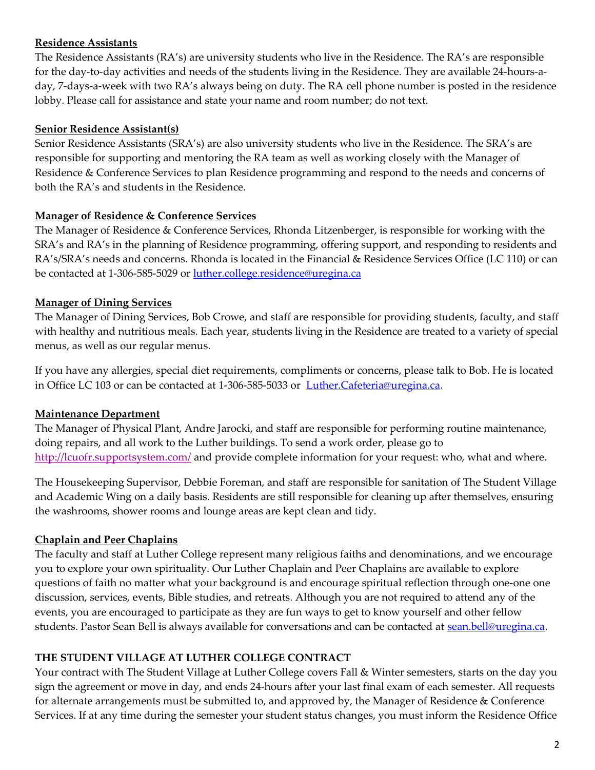## Residence Assistants

The Residence Assistants (RA's) are university students who live in the Residence. The RA's are responsible for the day-to-day activities and needs of the students living in the Residence. They are available 24-hours-aday, 7-days-a-week with two RA's always being on duty. The RA cell phone number is posted in the residence lobby. Please call for assistance and state your name and room number; do not text.

#### Senior Residence Assistant(s)

Senior Residence Assistants (SRA's) are also university students who live in the Residence. The SRA's are responsible for supporting and mentoring the RA team as well as working closely with the Manager of Residence & Conference Services to plan Residence programming and respond to the needs and concerns of both the RA's and students in the Residence.

#### Manager of Residence & Conference Services

The Manager of Residence & Conference Services, Rhonda Litzenberger, is responsible for working with the SRA's and RA's in the planning of Residence programming, offering support, and responding to residents and RA's/SRA's needs and concerns. Rhonda is located in the Financial & Residence Services Office (LC 110) or can be contacted at 1-306-585-5029 or luther.college.residence@uregina.ca

## **Manager of Dining Services**

The Manager of Dining Services, Bob Crowe, and staff are responsible for providing students, faculty, and staff with healthy and nutritious meals. Each year, students living in the Residence are treated to a variety of special menus, as well as our regular menus.

If you have any allergies, special diet requirements, compliments or concerns, please talk to Bob. He is located in Office LC 103 or can be contacted at 1-306-585-5033 or Luther.Cafeteria@uregina.ca.

## Maintenance Department

The Manager of Physical Plant, Andre Jarocki, and staff are responsible for performing routine maintenance, doing repairs, and all work to the Luther buildings. To send a work order, please go to http://lcuofr.supportsystem.com/ and provide complete information for your request: who, what and where.

The Housekeeping Supervisor, Debbie Foreman, and staff are responsible for sanitation of The Student Village and Academic Wing on a daily basis. Residents are still responsible for cleaning up after themselves, ensuring the washrooms, shower rooms and lounge areas are kept clean and tidy.

## Chaplain and Peer Chaplains

The faculty and staff at Luther College represent many religious faiths and denominations, and we encourage you to explore your own spirituality. Our Luther Chaplain and Peer Chaplains are available to explore questions of faith no matter what your background is and encourage spiritual reflection through one-one one discussion, services, events, Bible studies, and retreats. Although you are not required to attend any of the events, you are encouraged to participate as they are fun ways to get to know yourself and other fellow students. Pastor Sean Bell is always available for conversations and can be contacted at sean.bell@uregina.ca.

## THE STUDENT VILLAGE AT LUTHER COLLEGE CONTRACT

Your contract with The Student Village at Luther College covers Fall & Winter semesters, starts on the day you sign the agreement or move in day, and ends 24-hours after your last final exam of each semester. All requests for alternate arrangements must be submitted to, and approved by, the Manager of Residence & Conference Services. If at any time during the semester your student status changes, you must inform the Residence Office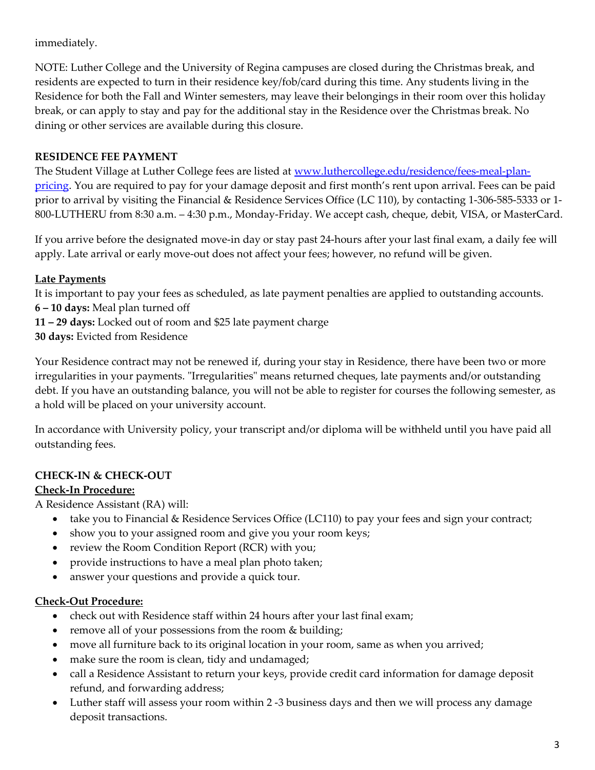## immediately.

NOTE: Luther College and the University of Regina campuses are closed during the Christmas break, and residents are expected to turn in their residence key/fob/card during this time. Any students living in the Residence for both the Fall and Winter semesters, may leave their belongings in their room over this holiday break, or can apply to stay and pay for the additional stay in the Residence over the Christmas break. No dining or other services are available during this closure.

## RESIDENCE FEE PAYMENT

The Student Village at Luther College fees are listed at www.luthercollege.edu/residence/fees-meal-planpricing. You are required to pay for your damage deposit and first month's rent upon arrival. Fees can be paid prior to arrival by visiting the Financial & Residence Services Office (LC 110), by contacting 1-306-585-5333 or 1- 800-LUTHERU from 8:30 a.m. – 4:30 p.m., Monday-Friday. We accept cash, cheque, debit, VISA, or MasterCard.

If you arrive before the designated move-in day or stay past 24-hours after your last final exam, a daily fee will apply. Late arrival or early move-out does not affect your fees; however, no refund will be given.

## Late Payments

It is important to pay your fees as scheduled, as late payment penalties are applied to outstanding accounts. 6 – 10 days: Meal plan turned off

11 – 29 days: Locked out of room and \$25 late payment charge

30 days: Evicted from Residence

Your Residence contract may not be renewed if, during your stay in Residence, there have been two or more irregularities in your payments. "Irregularities" means returned cheques, late payments and/or outstanding debt. If you have an outstanding balance, you will not be able to register for courses the following semester, as a hold will be placed on your university account.

In accordance with University policy, your transcript and/or diploma will be withheld until you have paid all outstanding fees.

## CHECK-IN & CHECK-OUT

## Check-In Procedure:

A Residence Assistant (RA) will:

- take you to Financial & Residence Services Office (LC110) to pay your fees and sign your contract;
- show you to your assigned room and give you your room keys;
- review the Room Condition Report (RCR) with you;
- provide instructions to have a meal plan photo taken;
- answer your questions and provide a quick tour.

#### Check-Out Procedure:

- check out with Residence staff within 24 hours after your last final exam;
- remove all of your possessions from the room & building;
- move all furniture back to its original location in your room, same as when you arrived;
- make sure the room is clean, tidy and undamaged;
- call a Residence Assistant to return your keys, provide credit card information for damage deposit refund, and forwarding address;
- Luther staff will assess your room within 2 -3 business days and then we will process any damage deposit transactions.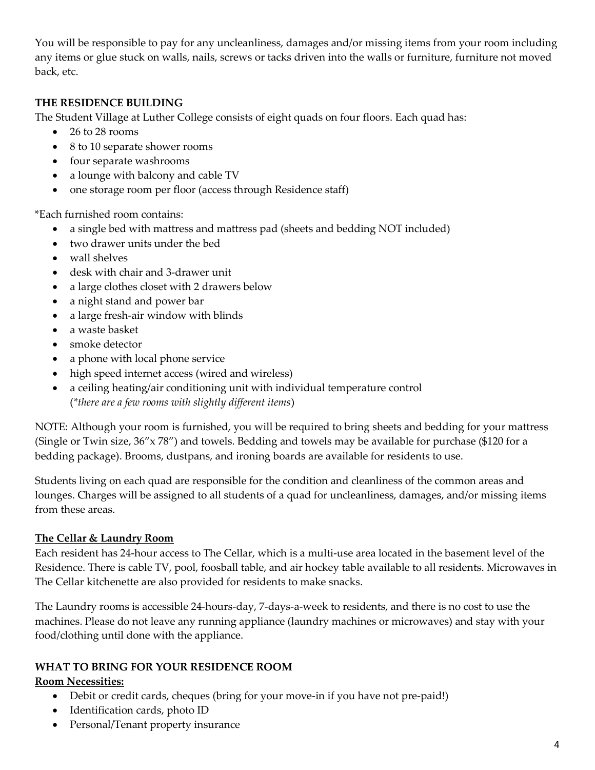You will be responsible to pay for any uncleanliness, damages and/or missing items from your room including any items or glue stuck on walls, nails, screws or tacks driven into the walls or furniture, furniture not moved back, etc.

#### THE RESIDENCE BUILDING

The Student Village at Luther College consists of eight quads on four floors. Each quad has:

- 26 to 28 rooms
- 8 to 10 separate shower rooms
- four separate washrooms
- a lounge with balcony and cable TV
- one storage room per floor (access through Residence staff)

\*Each furnished room contains:

- a single bed with mattress and mattress pad (sheets and bedding NOT included)
- two drawer units under the bed
- wall shelves
- desk with chair and 3-drawer unit
- a large clothes closet with 2 drawers below
- a night stand and power bar
- a large fresh-air window with blinds
- a waste basket
- smoke detector
- a phone with local phone service
- high speed internet access (wired and wireless)
- a ceiling heating/air conditioning unit with individual temperature control (\*there are a few rooms with slightly different items)

NOTE: Although your room is furnished, you will be required to bring sheets and bedding for your mattress (Single or Twin size, 36"x 78") and towels. Bedding and towels may be available for purchase (\$120 for a bedding package). Brooms, dustpans, and ironing boards are available for residents to use.

Students living on each quad are responsible for the condition and cleanliness of the common areas and lounges. Charges will be assigned to all students of a quad for uncleanliness, damages, and/or missing items from these areas.

#### The Cellar & Laundry Room

Each resident has 24-hour access to The Cellar, which is a multi-use area located in the basement level of the Residence. There is cable TV, pool, foosball table, and air hockey table available to all residents. Microwaves in The Cellar kitchenette are also provided for residents to make snacks.

The Laundry rooms is accessible 24-hours-day, 7-days-a-week to residents, and there is no cost to use the machines. Please do not leave any running appliance (laundry machines or microwaves) and stay with your food/clothing until done with the appliance.

#### WHAT TO BRING FOR YOUR RESIDENCE ROOM

#### Room Necessities:

- Debit or credit cards, cheques (bring for your move-in if you have not pre-paid!)
- Identification cards, photo ID
- Personal/Tenant property insurance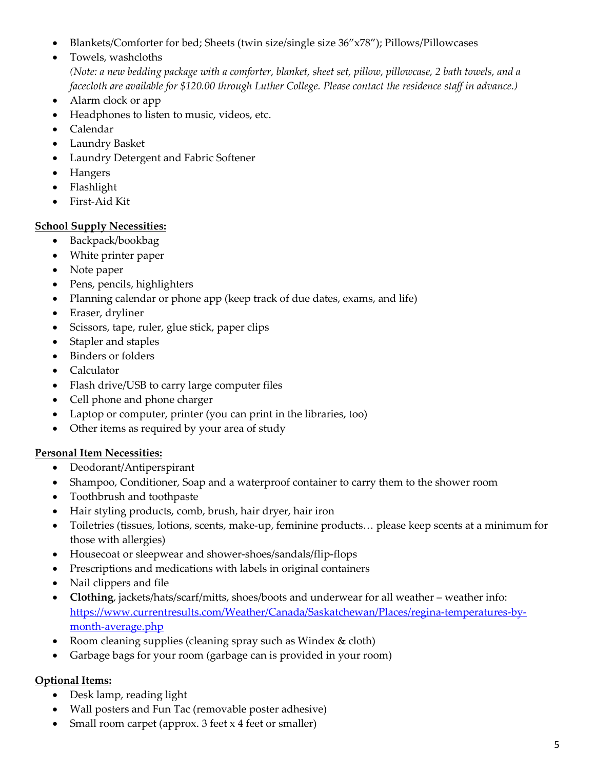- Blankets/Comforter for bed; Sheets (twin size/single size 36"x78"); Pillows/Pillowcases
- Towels, washcloths

(Note: a new bedding package with a comforter, blanket, sheet set, pillow, pillowcase, 2 bath towels, and a facecloth are available for \$120.00 through Luther College. Please contact the residence staff in advance.)

- Alarm clock or app
- Headphones to listen to music, videos, etc.
- Calendar
- Laundry Basket
- Laundry Detergent and Fabric Softener
- Hangers
- Flashlight
- First-Aid Kit

## School Supply Necessities:

- Backpack/bookbag
- White printer paper
- Note paper
- Pens, pencils, highlighters
- Planning calendar or phone app (keep track of due dates, exams, and life)
- Eraser, dryliner
- Scissors, tape, ruler, glue stick, paper clips
- Stapler and staples
- Binders or folders
- Calculator
- Flash drive/USB to carry large computer files
- Cell phone and phone charger
- Laptop or computer, printer (you can print in the libraries, too)
- Other items as required by your area of study

#### Personal Item Necessities:

- Deodorant/Antiperspirant
- Shampoo, Conditioner, Soap and a waterproof container to carry them to the shower room
- Toothbrush and toothpaste
- Hair styling products, comb, brush, hair dryer, hair iron
- Toiletries (tissues, lotions, scents, make-up, feminine products… please keep scents at a minimum for those with allergies)
- Housecoat or sleepwear and shower-shoes/sandals/flip-flops
- Prescriptions and medications with labels in original containers
- Nail clippers and file
- Clothing, jackets/hats/scarf/mitts, shoes/boots and underwear for all weather weather info: https://www.currentresults.com/Weather/Canada/Saskatchewan/Places/regina-temperatures-bymonth-average.php
- Room cleaning supplies (cleaning spray such as Windex & cloth)
- Garbage bags for your room (garbage can is provided in your room)

#### Optional Items:

- Desk lamp, reading light
- Wall posters and Fun Tac (removable poster adhesive)
- Small room carpet (approx. 3 feet x 4 feet or smaller)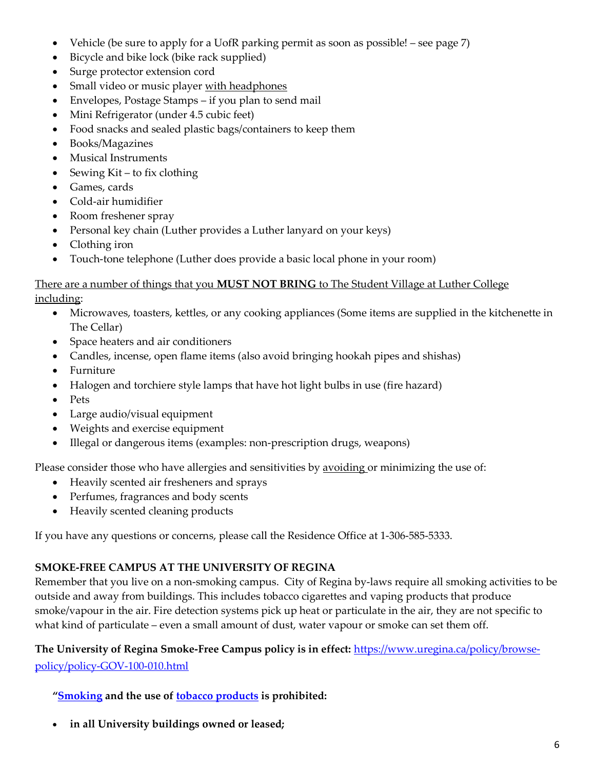- Vehicle (be sure to apply for a UofR parking permit as soon as possible! see page 7)
- Bicycle and bike lock (bike rack supplied)
- Surge protector extension cord
- Small video or music player with headphones
- Envelopes, Postage Stamps if you plan to send mail
- Mini Refrigerator (under 4.5 cubic feet)
- Food snacks and sealed plastic bags/containers to keep them
- Books/Magazines
- Musical Instruments
- Sewing Kit to fix clothing
- Games, cards
- Cold-air humidifier
- Room freshener spray
- Personal key chain (Luther provides a Luther lanyard on your keys)
- Clothing iron
- Touch-tone telephone (Luther does provide a basic local phone in your room)

#### There are a number of things that you **MUST NOT BRING** to The Student Village at Luther College including:

- Microwaves, toasters, kettles, or any cooking appliances (Some items are supplied in the kitchenette in The Cellar)
- Space heaters and air conditioners
- Candles, incense, open flame items (also avoid bringing hookah pipes and shishas)
- Furniture
- Halogen and torchiere style lamps that have hot light bulbs in use (fire hazard)
- Pets
- Large audio/visual equipment
- Weights and exercise equipment
- Illegal or dangerous items (examples: non-prescription drugs, weapons)

#### Please consider those who have allergies and sensitivities by avoiding or minimizing the use of:

- Heavily scented air fresheners and sprays
- Perfumes, fragrances and body scents
- Heavily scented cleaning products

If you have any questions or concerns, please call the Residence Office at 1-306-585-5333.

## SMOKE-FREE CAMPUS AT THE UNIVERSITY OF REGINA

Remember that you live on a non-smoking campus. City of Regina by-laws require all smoking activities to be outside and away from buildings. This includes tobacco cigarettes and vaping products that produce smoke/vapour in the air. Fire detection systems pick up heat or particulate in the air, they are not specific to what kind of particulate – even a small amount of dust, water vapour or smoke can set them off.

## The University of Regina Smoke-Free Campus policy is in effect: https://www.uregina.ca/policy/browsepolicy/policy-GOV-100-010.html

"Smoking and the use of tobacco products is prohibited:

in all University buildings owned or leased;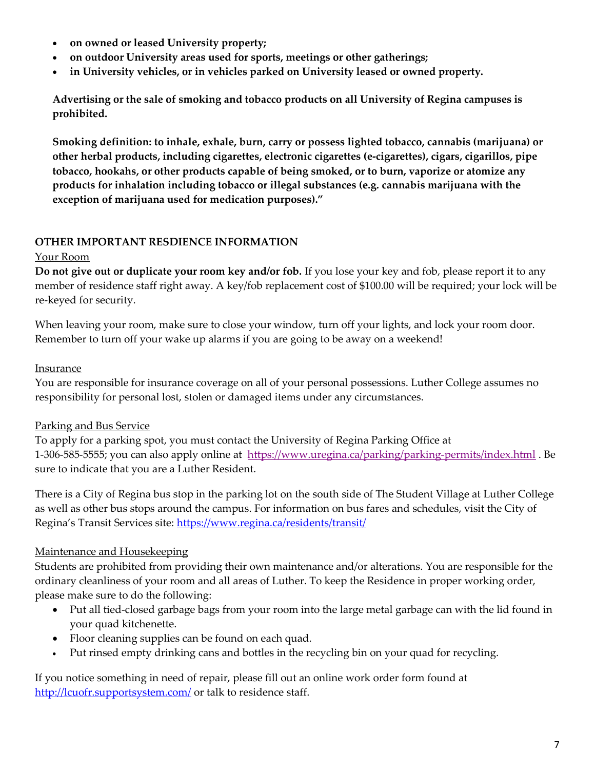- on owned or leased University property;
- on outdoor University areas used for sports, meetings or other gatherings;
- in University vehicles, or in vehicles parked on University leased or owned property.

Advertising or the sale of smoking and tobacco products on all University of Regina campuses is prohibited.

Smoking definition: to inhale, exhale, burn, carry or possess lighted tobacco, cannabis (marijuana) or other herbal products, including cigarettes, electronic cigarettes (e-cigarettes), cigars, cigarillos, pipe tobacco, hookahs, or other products capable of being smoked, or to burn, vaporize or atomize any products for inhalation including tobacco or illegal substances (e.g. cannabis marijuana with the exception of marijuana used for medication purposes)."

## OTHER IMPORTANT RESDIENCE INFORMATION

#### Your Room

Do not give out or duplicate your room key and/or fob. If you lose your key and fob, please report it to any member of residence staff right away. A key/fob replacement cost of \$100.00 will be required; your lock will be re-keyed for security.

When leaving your room, make sure to close your window, turn off your lights, and lock your room door. Remember to turn off your wake up alarms if you are going to be away on a weekend!

#### **Insurance**

You are responsible for insurance coverage on all of your personal possessions. Luther College assumes no responsibility for personal lost, stolen or damaged items under any circumstances.

## Parking and Bus Service

To apply for a parking spot, you must contact the University of Regina Parking Office at 1-306-585-5555; you can also apply online at https://www.uregina.ca/parking/parking-permits/index.html . Be sure to indicate that you are a Luther Resident.

There is a City of Regina bus stop in the parking lot on the south side of The Student Village at Luther College as well as other bus stops around the campus. For information on bus fares and schedules, visit the City of Regina's Transit Services site: https://www.regina.ca/residents/transit/

## Maintenance and Housekeeping

Students are prohibited from providing their own maintenance and/or alterations. You are responsible for the ordinary cleanliness of your room and all areas of Luther. To keep the Residence in proper working order, please make sure to do the following:

- Put all tied-closed garbage bags from your room into the large metal garbage can with the lid found in your quad kitchenette.
- Floor cleaning supplies can be found on each quad.
- Put rinsed empty drinking cans and bottles in the recycling bin on your quad for recycling.

If you notice something in need of repair, please fill out an online work order form found at http://lcuofr.supportsystem.com/ or talk to residence staff.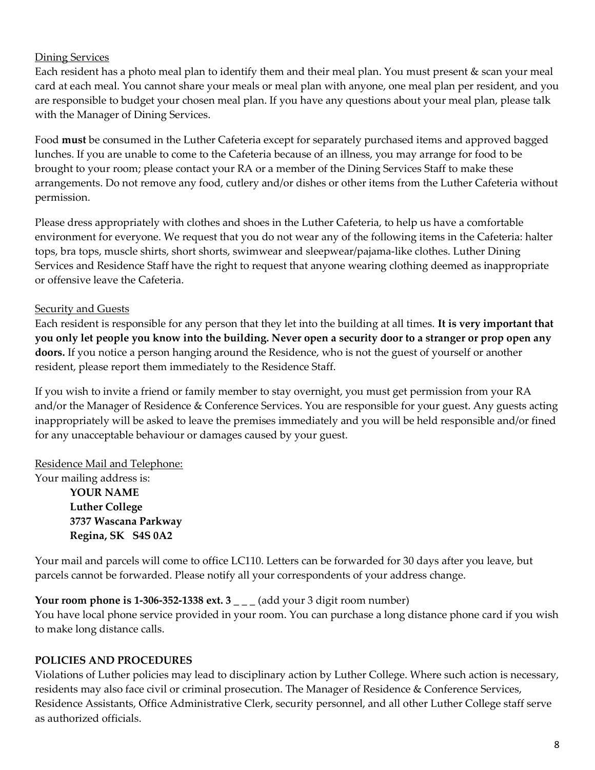#### Dining Services

Each resident has a photo meal plan to identify them and their meal plan. You must present & scan your meal card at each meal. You cannot share your meals or meal plan with anyone, one meal plan per resident, and you are responsible to budget your chosen meal plan. If you have any questions about your meal plan, please talk with the Manager of Dining Services.

Food must be consumed in the Luther Cafeteria except for separately purchased items and approved bagged lunches. If you are unable to come to the Cafeteria because of an illness, you may arrange for food to be brought to your room; please contact your RA or a member of the Dining Services Staff to make these arrangements. Do not remove any food, cutlery and/or dishes or other items from the Luther Cafeteria without permission.

Please dress appropriately with clothes and shoes in the Luther Cafeteria, to help us have a comfortable environment for everyone. We request that you do not wear any of the following items in the Cafeteria: halter tops, bra tops, muscle shirts, short shorts, swimwear and sleepwear/pajama-like clothes. Luther Dining Services and Residence Staff have the right to request that anyone wearing clothing deemed as inappropriate or offensive leave the Cafeteria.

#### Security and Guests

Each resident is responsible for any person that they let into the building at all times. It is very important that you only let people you know into the building. Never open a security door to a stranger or prop open any doors. If you notice a person hanging around the Residence, who is not the guest of yourself or another resident, please report them immediately to the Residence Staff.

If you wish to invite a friend or family member to stay overnight, you must get permission from your RA and/or the Manager of Residence & Conference Services. You are responsible for your guest. Any guests acting inappropriately will be asked to leave the premises immediately and you will be held responsible and/or fined for any unacceptable behaviour or damages caused by your guest.

Residence Mail and Telephone:

Your mailing address is: YOUR NAME Luther College 3737 Wascana Parkway Regina, SK S4S 0A2

Your mail and parcels will come to office LC110. Letters can be forwarded for 30 days after you leave, but parcels cannot be forwarded. Please notify all your correspondents of your address change.

## Your room phone is 1-306-352-1338 ext.  $3_{--}$  (add your 3 digit room number)

You have local phone service provided in your room. You can purchase a long distance phone card if you wish to make long distance calls.

#### POLICIES AND PROCEDURES

Violations of Luther policies may lead to disciplinary action by Luther College. Where such action is necessary, residents may also face civil or criminal prosecution. The Manager of Residence & Conference Services, Residence Assistants, Office Administrative Clerk, security personnel, and all other Luther College staff serve as authorized officials.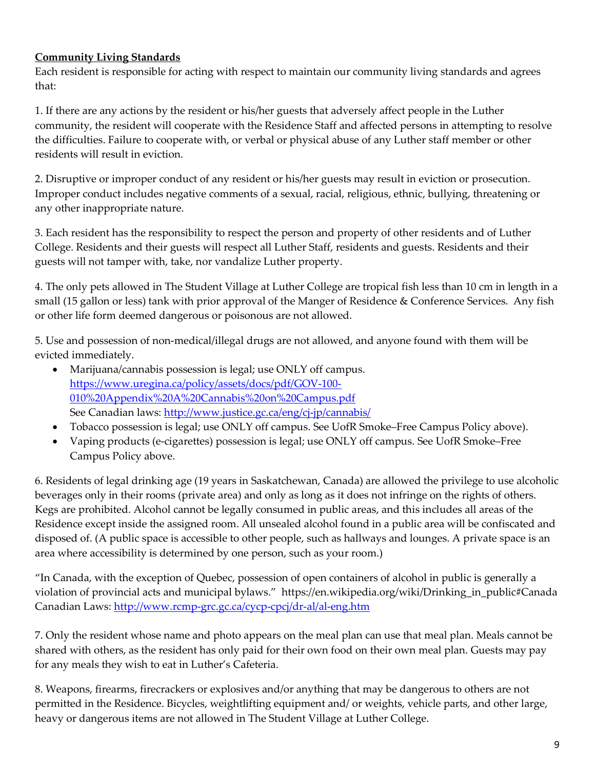## Community Living Standards

Each resident is responsible for acting with respect to maintain our community living standards and agrees that:

1. If there are any actions by the resident or his/her guests that adversely affect people in the Luther community, the resident will cooperate with the Residence Staff and affected persons in attempting to resolve the difficulties. Failure to cooperate with, or verbal or physical abuse of any Luther staff member or other residents will result in eviction.

2. Disruptive or improper conduct of any resident or his/her guests may result in eviction or prosecution. Improper conduct includes negative comments of a sexual, racial, religious, ethnic, bullying, threatening or any other inappropriate nature.

3. Each resident has the responsibility to respect the person and property of other residents and of Luther College. Residents and their guests will respect all Luther Staff, residents and guests. Residents and their guests will not tamper with, take, nor vandalize Luther property.

4. The only pets allowed in The Student Village at Luther College are tropical fish less than 10 cm in length in a small (15 gallon or less) tank with prior approval of the Manger of Residence & Conference Services. Any fish or other life form deemed dangerous or poisonous are not allowed.

5. Use and possession of non-medical/illegal drugs are not allowed, and anyone found with them will be evicted immediately.

- Marijuana/cannabis possession is legal; use ONLY off campus. https://www.uregina.ca/policy/assets/docs/pdf/GOV-100- 010%20Appendix%20A%20Cannabis%20on%20Campus.pdf See Canadian laws: http://www.justice.gc.ca/eng/cj-jp/cannabis/
- Tobacco possession is legal; use ONLY off campus. See UofR Smoke–Free Campus Policy above).
- Vaping products (e-cigarettes) possession is legal; use ONLY off campus. See UofR Smoke–Free Campus Policy above.

6. Residents of legal drinking age (19 years in Saskatchewan, Canada) are allowed the privilege to use alcoholic beverages only in their rooms (private area) and only as long as it does not infringe on the rights of others. Kegs are prohibited. Alcohol cannot be legally consumed in public areas, and this includes all areas of the Residence except inside the assigned room. All unsealed alcohol found in a public area will be confiscated and disposed of. (A public space is accessible to other people, such as hallways and lounges. A private space is an area where accessibility is determined by one person, such as your room.)

"In Canada, with the exception of Quebec, possession of open containers of alcohol in public is generally a violation of provincial acts and municipal bylaws." https://en.wikipedia.org/wiki/Drinking\_in\_public#Canada Canadian Laws: http://www.rcmp-grc.gc.ca/cycp-cpcj/dr-al/al-eng.htm

7. Only the resident whose name and photo appears on the meal plan can use that meal plan. Meals cannot be shared with others, as the resident has only paid for their own food on their own meal plan. Guests may pay for any meals they wish to eat in Luther's Cafeteria.

8. Weapons, firearms, firecrackers or explosives and/or anything that may be dangerous to others are not permitted in the Residence. Bicycles, weightlifting equipment and/ or weights, vehicle parts, and other large, heavy or dangerous items are not allowed in The Student Village at Luther College.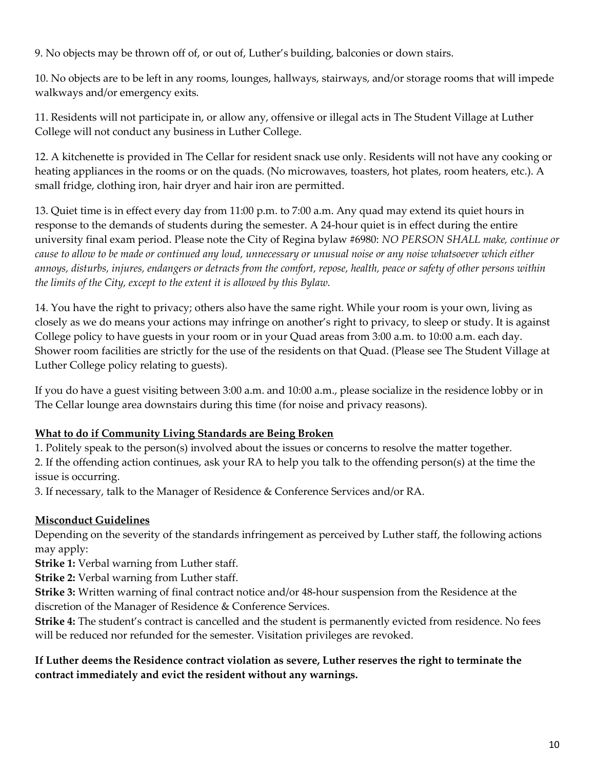9. No objects may be thrown off of, or out of, Luther's building, balconies or down stairs.

10. No objects are to be left in any rooms, lounges, hallways, stairways, and/or storage rooms that will impede walkways and/or emergency exits.

11. Residents will not participate in, or allow any, offensive or illegal acts in The Student Village at Luther College will not conduct any business in Luther College.

12. A kitchenette is provided in The Cellar for resident snack use only. Residents will not have any cooking or heating appliances in the rooms or on the quads. (No microwaves, toasters, hot plates, room heaters, etc.). A small fridge, clothing iron, hair dryer and hair iron are permitted.

13. Quiet time is in effect every day from 11:00 p.m. to 7:00 a.m. Any quad may extend its quiet hours in response to the demands of students during the semester. A 24-hour quiet is in effect during the entire university final exam period. Please note the City of Regina bylaw #6980: NO PERSON SHALL make, continue or cause to allow to be made or continued any loud, unnecessary or unusual noise or any noise whatsoever which either annoys, disturbs, injures, endangers or detracts from the comfort, repose, health, peace or safety of other persons within the limits of the City, except to the extent it is allowed by this Bylaw.

14. You have the right to privacy; others also have the same right. While your room is your own, living as closely as we do means your actions may infringe on another's right to privacy, to sleep or study. It is against College policy to have guests in your room or in your Quad areas from 3:00 a.m. to 10:00 a.m. each day. Shower room facilities are strictly for the use of the residents on that Quad. (Please see The Student Village at Luther College policy relating to guests).

If you do have a guest visiting between 3:00 a.m. and 10:00 a.m., please socialize in the residence lobby or in The Cellar lounge area downstairs during this time (for noise and privacy reasons).

## What to do if Community Living Standards are Being Broken

1. Politely speak to the person(s) involved about the issues or concerns to resolve the matter together.

2. If the offending action continues, ask your RA to help you talk to the offending person(s) at the time the issue is occurring.

3. If necessary, talk to the Manager of Residence & Conference Services and/or RA.

## Misconduct Guidelines

Depending on the severity of the standards infringement as perceived by Luther staff, the following actions may apply:

Strike 1: Verbal warning from Luther staff.

Strike 2: Verbal warning from Luther staff.

Strike 3: Written warning of final contract notice and/or 48-hour suspension from the Residence at the discretion of the Manager of Residence & Conference Services.

Strike 4: The student's contract is cancelled and the student is permanently evicted from residence. No fees will be reduced nor refunded for the semester. Visitation privileges are revoked.

If Luther deems the Residence contract violation as severe, Luther reserves the right to terminate the contract immediately and evict the resident without any warnings.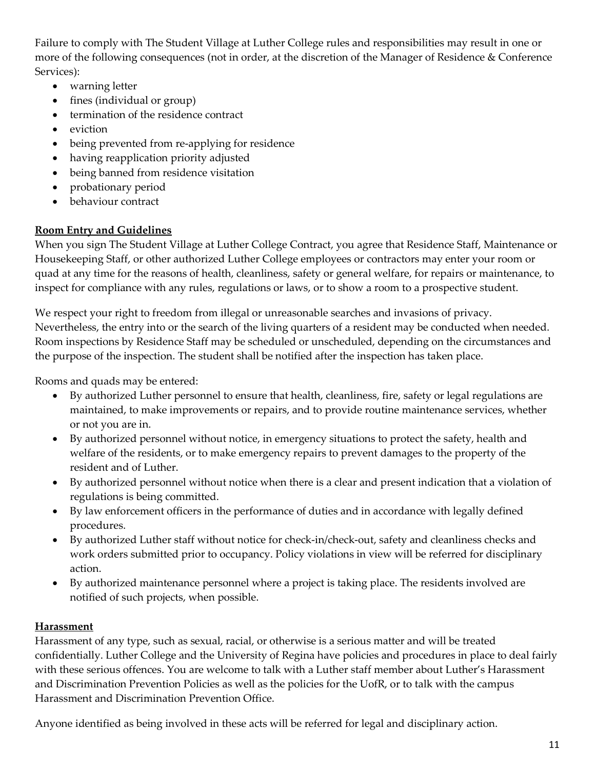Failure to comply with The Student Village at Luther College rules and responsibilities may result in one or more of the following consequences (not in order, at the discretion of the Manager of Residence & Conference Services):

- warning letter
- fines (individual or group)
- termination of the residence contract
- eviction
- being prevented from re-applying for residence
- having reapplication priority adjusted
- being banned from residence visitation
- probationary period
- behaviour contract

#### Room Entry and Guidelines

When you sign The Student Village at Luther College Contract, you agree that Residence Staff, Maintenance or Housekeeping Staff, or other authorized Luther College employees or contractors may enter your room or quad at any time for the reasons of health, cleanliness, safety or general welfare, for repairs or maintenance, to inspect for compliance with any rules, regulations or laws, or to show a room to a prospective student.

We respect your right to freedom from illegal or unreasonable searches and invasions of privacy. Nevertheless, the entry into or the search of the living quarters of a resident may be conducted when needed. Room inspections by Residence Staff may be scheduled or unscheduled, depending on the circumstances and the purpose of the inspection. The student shall be notified after the inspection has taken place.

Rooms and quads may be entered:

- By authorized Luther personnel to ensure that health, cleanliness, fire, safety or legal regulations are maintained, to make improvements or repairs, and to provide routine maintenance services, whether or not you are in.
- By authorized personnel without notice, in emergency situations to protect the safety, health and welfare of the residents, or to make emergency repairs to prevent damages to the property of the resident and of Luther.
- By authorized personnel without notice when there is a clear and present indication that a violation of regulations is being committed.
- By law enforcement officers in the performance of duties and in accordance with legally defined procedures.
- By authorized Luther staff without notice for check-in/check-out, safety and cleanliness checks and work orders submitted prior to occupancy. Policy violations in view will be referred for disciplinary action.
- By authorized maintenance personnel where a project is taking place. The residents involved are notified of such projects, when possible.

#### **Harassment**

Harassment of any type, such as sexual, racial, or otherwise is a serious matter and will be treated confidentially. Luther College and the University of Regina have policies and procedures in place to deal fairly with these serious offences. You are welcome to talk with a Luther staff member about Luther's Harassment and Discrimination Prevention Policies as well as the policies for the UofR, or to talk with the campus Harassment and Discrimination Prevention Office.

Anyone identified as being involved in these acts will be referred for legal and disciplinary action.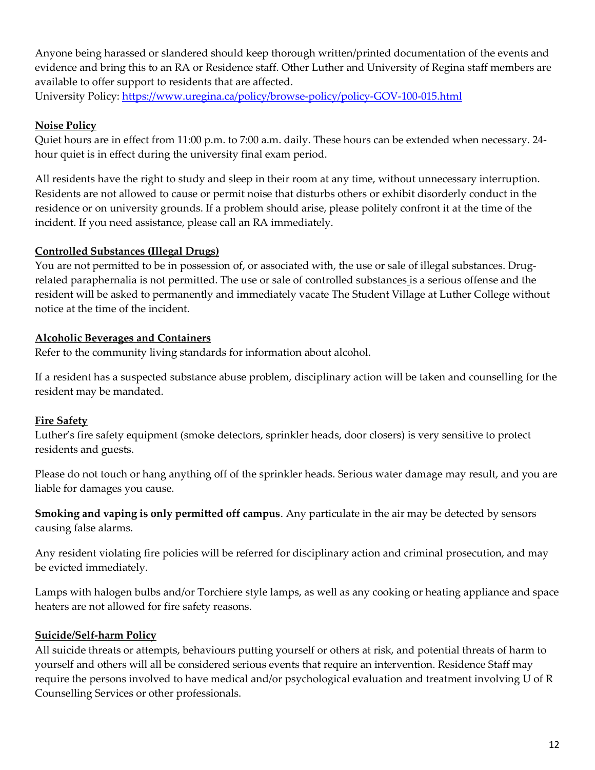Anyone being harassed or slandered should keep thorough written/printed documentation of the events and evidence and bring this to an RA or Residence staff. Other Luther and University of Regina staff members are available to offer support to residents that are affected.

University Policy: https://www.uregina.ca/policy/browse-policy/policy-GOV-100-015.html

## Noise Policy

Quiet hours are in effect from 11:00 p.m. to 7:00 a.m. daily. These hours can be extended when necessary. 24 hour quiet is in effect during the university final exam period.

All residents have the right to study and sleep in their room at any time, without unnecessary interruption. Residents are not allowed to cause or permit noise that disturbs others or exhibit disorderly conduct in the residence or on university grounds. If a problem should arise, please politely confront it at the time of the incident. If you need assistance, please call an RA immediately.

## Controlled Substances (Illegal Drugs)

You are not permitted to be in possession of, or associated with, the use or sale of illegal substances. Drugrelated paraphernalia is not permitted. The use or sale of controlled substances is a serious offense and the resident will be asked to permanently and immediately vacate The Student Village at Luther College without notice at the time of the incident.

## Alcoholic Beverages and Containers

Refer to the community living standards for information about alcohol.

If a resident has a suspected substance abuse problem, disciplinary action will be taken and counselling for the resident may be mandated.

## Fire Safety

Luther's fire safety equipment (smoke detectors, sprinkler heads, door closers) is very sensitive to protect residents and guests.

Please do not touch or hang anything off of the sprinkler heads. Serious water damage may result, and you are liable for damages you cause.

Smoking and vaping is only permitted off campus. Any particulate in the air may be detected by sensors causing false alarms.

Any resident violating fire policies will be referred for disciplinary action and criminal prosecution, and may be evicted immediately.

Lamps with halogen bulbs and/or Torchiere style lamps, as well as any cooking or heating appliance and space heaters are not allowed for fire safety reasons.

## Suicide/Self-harm Policy

All suicide threats or attempts, behaviours putting yourself or others at risk, and potential threats of harm to yourself and others will all be considered serious events that require an intervention. Residence Staff may require the persons involved to have medical and/or psychological evaluation and treatment involving U of R Counselling Services or other professionals.